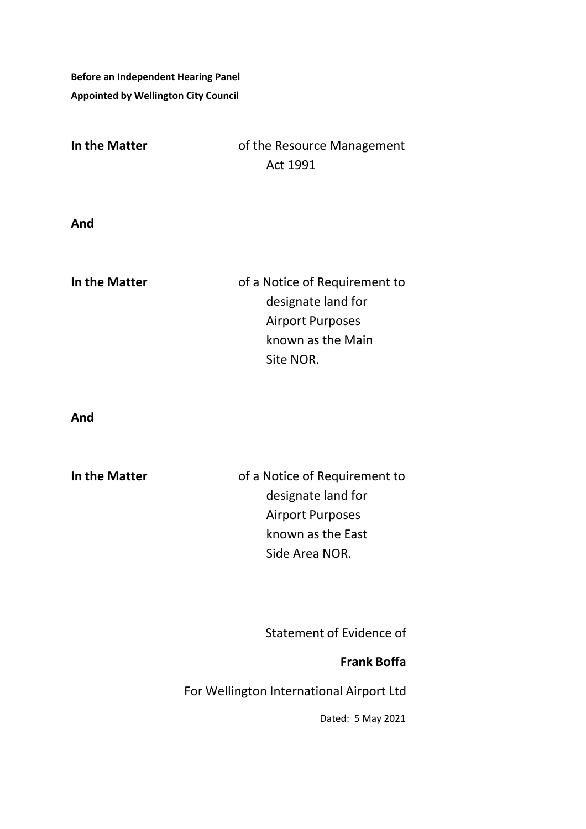**Before an Independent Hearing Panel Appointed by Wellington City Council** 

| In the Matter | of the Resource Management |
|---------------|----------------------------|
|               | Act 1991                   |

**And** 

| In the Matter | of a Notice of Requirement to |
|---------------|-------------------------------|
|               | designate land for            |
|               | <b>Airport Purposes</b>       |
|               | known as the Main             |
|               | Site NOR.                     |

**And** 

**In the Matter of a Notice of Requirement to** designate land for Airport Purposes known as the East Side Area NOR.

Statement of Evidence of

# **Frank Boffa**

For Wellington International Airport Ltd

Dated: 5 May 2021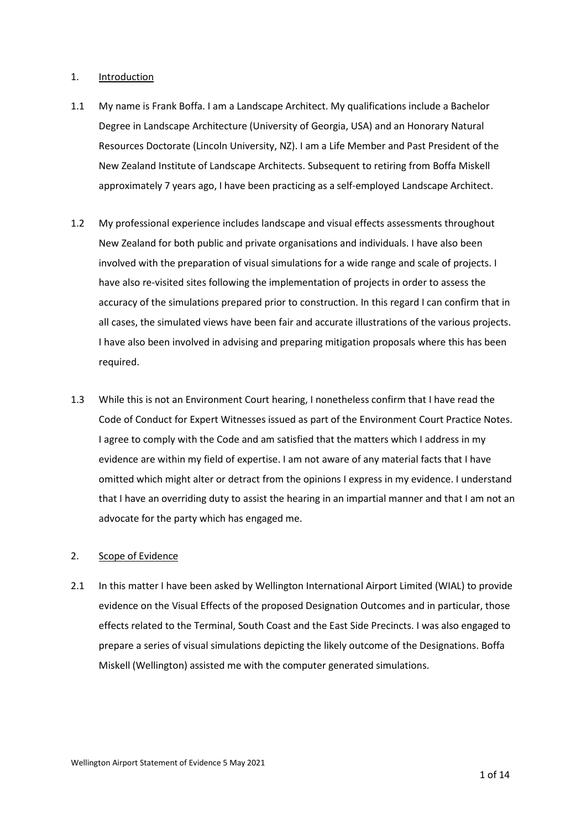### 1. Introduction

- 1.1 My name is Frank Boffa. I am a Landscape Architect. My qualifications include a Bachelor Degree in Landscape Architecture (University of Georgia, USA) and an Honorary Natural Resources Doctorate (Lincoln University, NZ). I am a Life Member and Past President of the New Zealand Institute of Landscape Architects. Subsequent to retiring from Boffa Miskell approximately 7 years ago, I have been practicing as a self-employed Landscape Architect.
- 1.2 My professional experience includes landscape and visual effects assessments throughout New Zealand for both public and private organisations and individuals. I have also been involved with the preparation of visual simulations for a wide range and scale of projects. I have also re-visited sites following the implementation of projects in order to assess the accuracy of the simulations prepared prior to construction. In this regard I can confirm that in all cases, the simulated views have been fair and accurate illustrations of the various projects. I have also been involved in advising and preparing mitigation proposals where this has been required.
- 1.3 While this is not an Environment Court hearing, I nonetheless confirm that I have read the Code of Conduct for Expert Witnesses issued as part of the Environment Court Practice Notes. I agree to comply with the Code and am satisfied that the matters which I address in my evidence are within my field of expertise. I am not aware of any material facts that I have omitted which might alter or detract from the opinions I express in my evidence. I understand that I have an overriding duty to assist the hearing in an impartial manner and that I am not an advocate for the party which has engaged me.

## 2. Scope of Evidence

2.1 In this matter I have been asked by Wellington International Airport Limited (WIAL) to provide evidence on the Visual Effects of the proposed Designation Outcomes and in particular, those effects related to the Terminal, South Coast and the East Side Precincts. I was also engaged to prepare a series of visual simulations depicting the likely outcome of the Designations. Boffa Miskell (Wellington) assisted me with the computer generated simulations.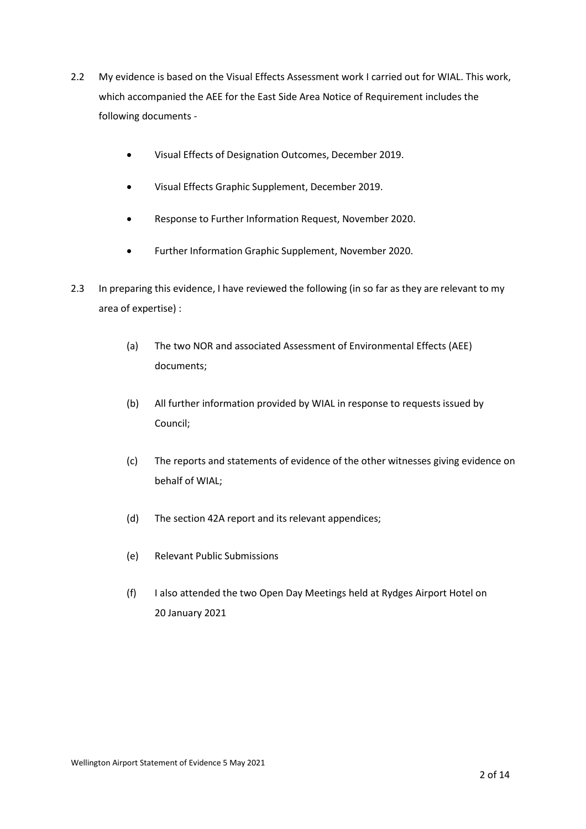- 2.2 My evidence is based on the Visual Effects Assessment work I carried out for WIAL. This work, which accompanied the AEE for the East Side Area Notice of Requirement includes the following documents -
	- Visual Effects of Designation Outcomes, December 2019.
	- Visual Effects Graphic Supplement, December 2019.
	- Response to Further Information Request, November 2020.
	- Further Information Graphic Supplement, November 2020.
- 2.3 In preparing this evidence, I have reviewed the following (in so far as they are relevant to my area of expertise) :
	- (a) The two NOR and associated Assessment of Environmental Effects (AEE) documents;
	- (b) All further information provided by WIAL in response to requests issued by Council;
	- (c) The reports and statements of evidence of the other witnesses giving evidence on behalf of WIAL;
	- (d) The section 42A report and its relevant appendices;
	- (e) Relevant Public Submissions
	- (f) I also attended the two Open Day Meetings held at Rydges Airport Hotel on 20 January 2021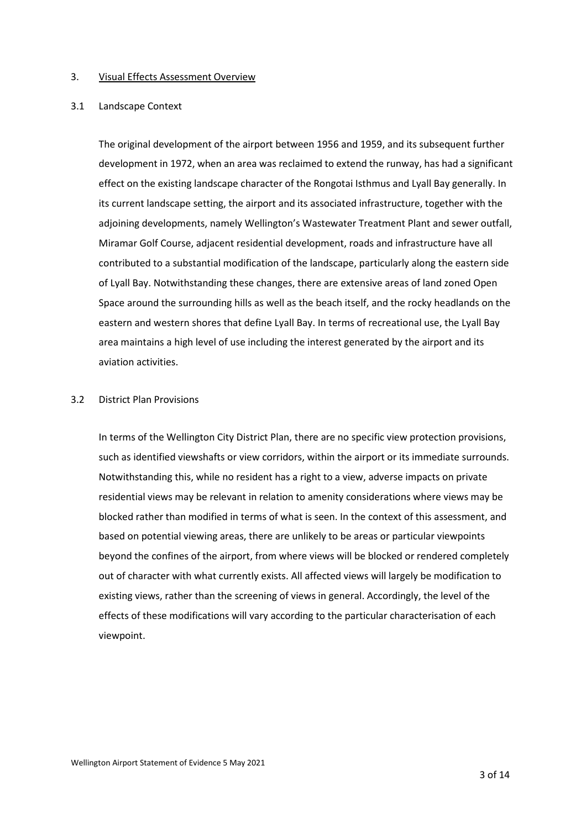#### 3. Visual Effects Assessment Overview

### 3.1 Landscape Context

The original development of the airport between 1956 and 1959, and its subsequent further development in 1972, when an area was reclaimed to extend the runway, has had a significant effect on the existing landscape character of the Rongotai Isthmus and Lyall Bay generally. In its current landscape setting, the airport and its associated infrastructure, together with the adjoining developments, namely Wellington's Wastewater Treatment Plant and sewer outfall, Miramar Golf Course, adjacent residential development, roads and infrastructure have all contributed to a substantial modification of the landscape, particularly along the eastern side of Lyall Bay. Notwithstanding these changes, there are extensive areas of land zoned Open Space around the surrounding hills as well as the beach itself, and the rocky headlands on the eastern and western shores that define Lyall Bay. In terms of recreational use, the Lyall Bay area maintains a high level of use including the interest generated by the airport and its aviation activities.

### 3.2 District Plan Provisions

In terms of the Wellington City District Plan, there are no specific view protection provisions, such as identified viewshafts or view corridors, within the airport or its immediate surrounds. Notwithstanding this, while no resident has a right to a view, adverse impacts on private residential views may be relevant in relation to amenity considerations where views may be blocked rather than modified in terms of what is seen. In the context of this assessment, and based on potential viewing areas, there are unlikely to be areas or particular viewpoints beyond the confines of the airport, from where views will be blocked or rendered completely out of character with what currently exists. All affected views will largely be modification to existing views, rather than the screening of views in general. Accordingly, the level of the effects of these modifications will vary according to the particular characterisation of each viewpoint.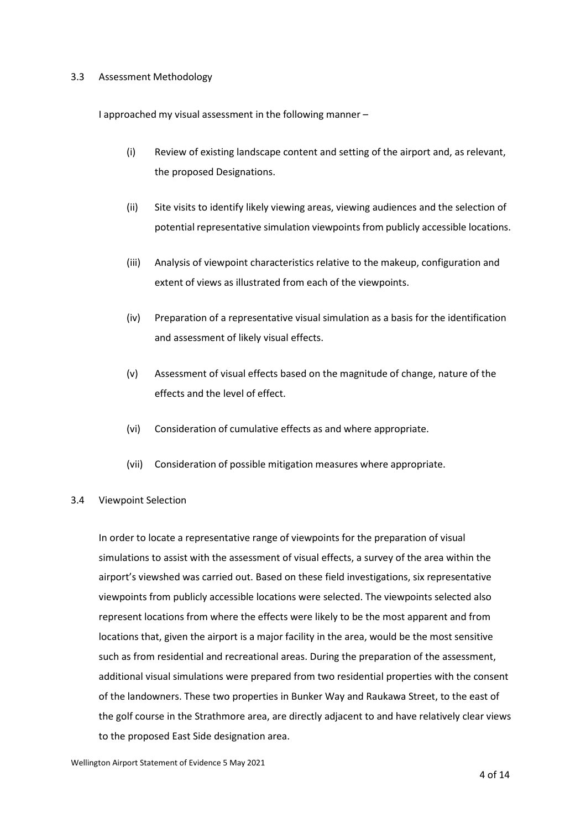### 3.3 Assessment Methodology

I approached my visual assessment in the following manner –

- (i) Review of existing landscape content and setting of the airport and, as relevant, the proposed Designations.
- (ii) Site visits to identify likely viewing areas, viewing audiences and the selection of potential representative simulation viewpoints from publicly accessible locations.
- (iii) Analysis of viewpoint characteristics relative to the makeup, configuration and extent of views as illustrated from each of the viewpoints.
- (iv) Preparation of a representative visual simulation as a basis for the identification and assessment of likely visual effects.
- (v) Assessment of visual effects based on the magnitude of change, nature of the effects and the level of effect.
- (vi) Consideration of cumulative effects as and where appropriate.
- (vii) Consideration of possible mitigation measures where appropriate.

### 3.4 Viewpoint Selection

In order to locate a representative range of viewpoints for the preparation of visual simulations to assist with the assessment of visual effects, a survey of the area within the airport's viewshed was carried out. Based on these field investigations, six representative viewpoints from publicly accessible locations were selected. The viewpoints selected also represent locations from where the effects were likely to be the most apparent and from locations that, given the airport is a major facility in the area, would be the most sensitive such as from residential and recreational areas. During the preparation of the assessment, additional visual simulations were prepared from two residential properties with the consent of the landowners. These two properties in Bunker Way and Raukawa Street, to the east of the golf course in the Strathmore area, are directly adjacent to and have relatively clear views to the proposed East Side designation area.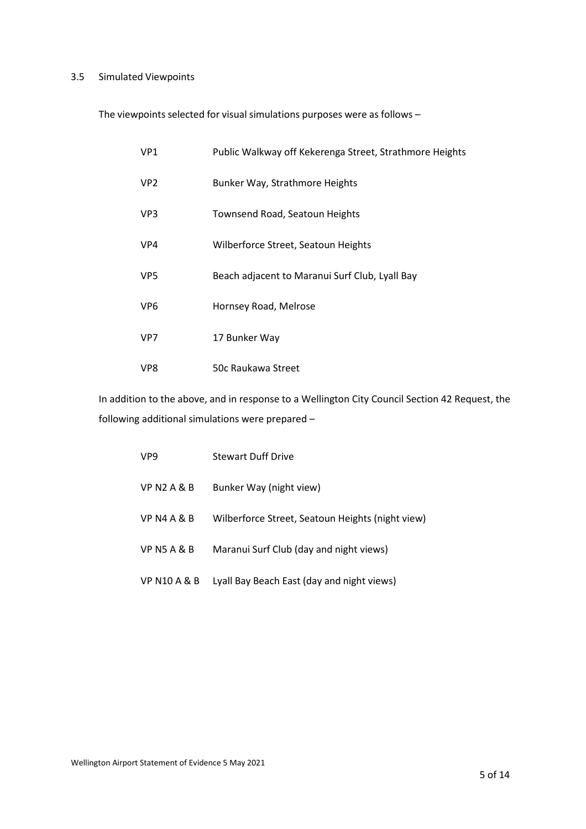## 3.5 Simulated Viewpoints

The viewpoints selected for visual simulations purposes were as follows –

| VP <sub>1</sub> | Public Walkway off Kekerenga Street, Strathmore Heights |
|-----------------|---------------------------------------------------------|
| VP <sub>2</sub> | Bunker Way, Strathmore Heights                          |
| VP3             | Townsend Road, Seatoun Heights                          |
| VP4             | Wilberforce Street, Seatoun Heights                     |
| VP5             | Beach adjacent to Maranui Surf Club, Lyall Bay          |
| VP6             | Hornsey Road, Melrose                                   |
| VP7             | 17 Bunker Way                                           |
| VP8             | 50c Raukawa Street                                      |

In addition to the above, and in response to a Wellington City Council Section 42 Request, the following additional simulations were prepared –

| VP <sub>9</sub>         | <b>Stewart Duff Drive</b>                        |
|-------------------------|--------------------------------------------------|
| <b>VP N2 A &amp; B</b>  | Bunker Way (night view)                          |
| VPN4A&B                 | Wilberforce Street, Seatoun Heights (night view) |
| <b>VP N5 A &amp; B</b>  | Maranui Surf Club (day and night views)          |
| <b>VP N10 A &amp; B</b> | Lyall Bay Beach East (day and night views)       |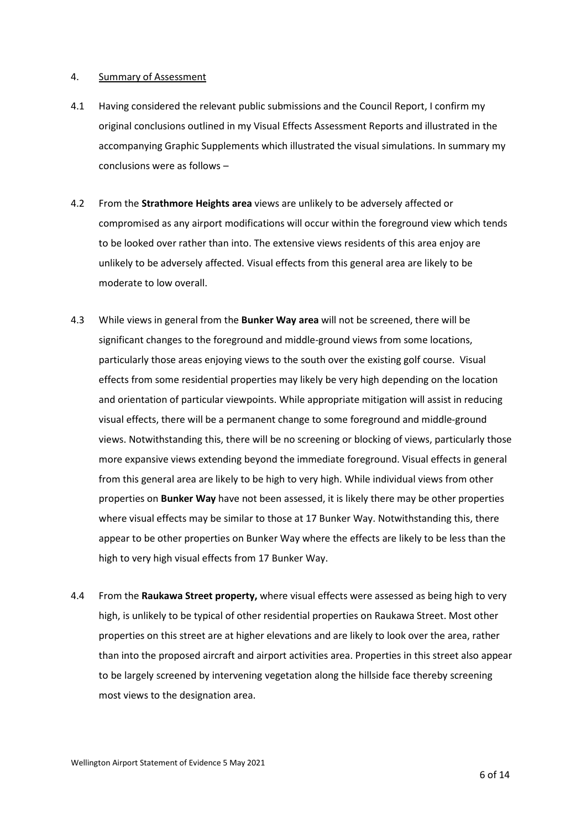### 4. Summary of Assessment

- 4.1 Having considered the relevant public submissions and the Council Report, I confirm my original conclusions outlined in my Visual Effects Assessment Reports and illustrated in the accompanying Graphic Supplements which illustrated the visual simulations. In summary my conclusions were as follows –
- 4.2 From the **Strathmore Heights area** views are unlikely to be adversely affected or compromised as any airport modifications will occur within the foreground view which tends to be looked over rather than into. The extensive views residents of this area enjoy are unlikely to be adversely affected. Visual effects from this general area are likely to be moderate to low overall.
- 4.3 While views in general from the **Bunker Way area** will not be screened, there will be significant changes to the foreground and middle-ground views from some locations, particularly those areas enjoying views to the south over the existing golf course. Visual effects from some residential properties may likely be very high depending on the location and orientation of particular viewpoints. While appropriate mitigation will assist in reducing visual effects, there will be a permanent change to some foreground and middle-ground views. Notwithstanding this, there will be no screening or blocking of views, particularly those more expansive views extending beyond the immediate foreground. Visual effects in general from this general area are likely to be high to very high. While individual views from other properties on **Bunker Way** have not been assessed, it is likely there may be other properties where visual effects may be similar to those at 17 Bunker Way. Notwithstanding this, there appear to be other properties on Bunker Way where the effects are likely to be less than the high to very high visual effects from 17 Bunker Way.
- 4.4 From the **Raukawa Street property,** where visual effects were assessed as being high to very high, is unlikely to be typical of other residential properties on Raukawa Street. Most other properties on this street are at higher elevations and are likely to look over the area, rather than into the proposed aircraft and airport activities area. Properties in this street also appear to be largely screened by intervening vegetation along the hillside face thereby screening most views to the designation area.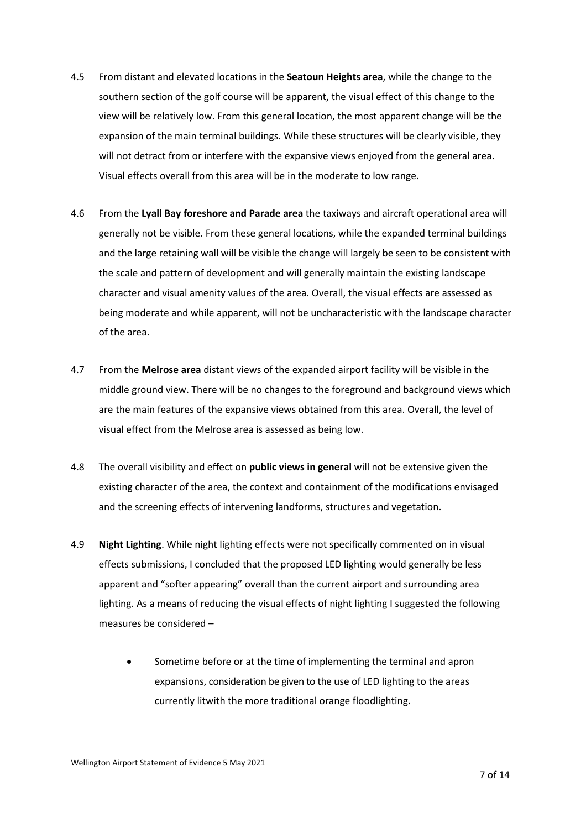- 4.5 From distant and elevated locations in the **Seatoun Heights area**, while the change to the southern section of the golf course will be apparent, the visual effect of this change to the view will be relatively low. From this general location, the most apparent change will be the expansion of the main terminal buildings. While these structures will be clearly visible, they will not detract from or interfere with the expansive views enjoyed from the general area. Visual effects overall from this area will be in the moderate to low range.
- 4.6 From the **Lyall Bay foreshore and Parade area** the taxiways and aircraft operational area will generally not be visible. From these general locations, while the expanded terminal buildings and the large retaining wall will be visible the change will largely be seen to be consistent with the scale and pattern of development and will generally maintain the existing landscape character and visual amenity values of the area. Overall, the visual effects are assessed as being moderate and while apparent, will not be uncharacteristic with the landscape character of the area.
- 4.7 From the **Melrose area** distant views of the expanded airport facility will be visible in the middle ground view. There will be no changes to the foreground and background views which are the main features of the expansive views obtained from this area. Overall, the level of visual effect from the Melrose area is assessed as being low.
- 4.8 The overall visibility and effect on **public views in general** will not be extensive given the existing character of the area, the context and containment of the modifications envisaged and the screening effects of intervening landforms, structures and vegetation.
- 4.9 **Night Lighting**. While night lighting effects were not specifically commented on in visual effects submissions, I concluded that the proposed LED lighting would generally be less apparent and "softer appearing" overall than the current airport and surrounding area lighting. As a means of reducing the visual effects of night lighting I suggested the following measures be considered –
	- Sometime before or at the time of implementing the terminal and apron expansions, consideration be given to the use of LED lighting to the areas currently lit with the more traditional orange floodlighting.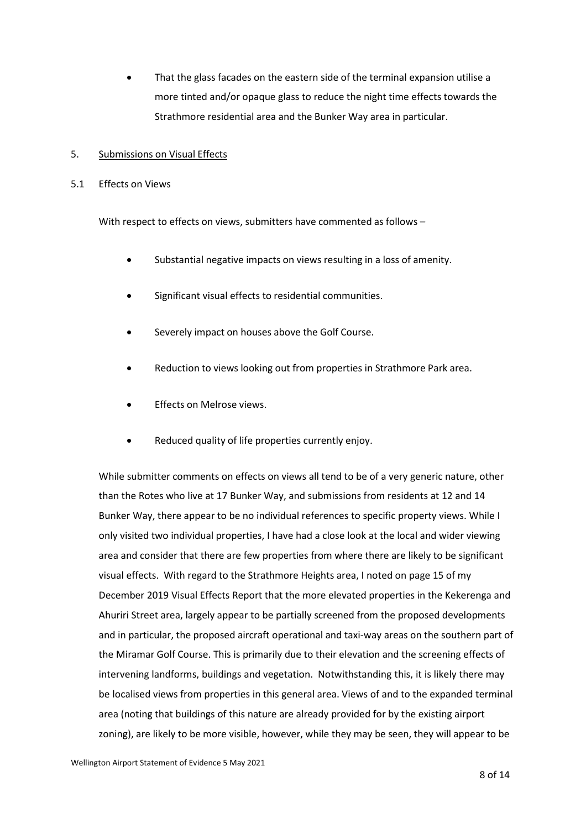• That the glass facades on the eastern side of the terminal expansion utilise a more tinted and/or opaque glass to reduce the night time effects towards the Strathmore residential area and the Bunker Way area in particular.

### 5. Submissions on Visual Effects

### 5.1 Effects on Views

With respect to effects on views, submitters have commented as follows -

- Substantial negative impacts on views resulting in a loss of amenity.
- Significant visual effects to residential communities.
- Severely impact on houses above the Golf Course.
- Reduction to views looking out from properties in Strathmore Park area.
- Effects on Melrose views.
- Reduced quality of life properties currently enjoy.

While submitter comments on effects on views all tend to be of a very generic nature, other than the Rotes who live at 17 Bunker Way, and submissions from residents at 12 and 14 Bunker Way, there appear to be no individual references to specific property views. While I only visited two individual properties, I have had a close look at the local and wider viewing area and consider that there are few properties from where there are likely to be significant visual effects. With regard to the Strathmore Heights area, I noted on page 15 of my December 2019 Visual Effects Report that the more elevated properties in the Kekerenga and Ahuriri Street area, largely appear to be partially screened from the proposed developments and in particular, the proposed aircraft operational and taxi-way areas on the southern part of the Miramar Golf Course. This is primarily due to their elevation and the screening effects of intervening landforms, buildings and vegetation. Notwithstanding this, it is likely there may be localised views from properties in this general area. Views of and to the expanded terminal area (noting that buildings of this nature are already provided for by the existing airport zoning), are likely to be more visible, however, while they may be seen, they will appear to be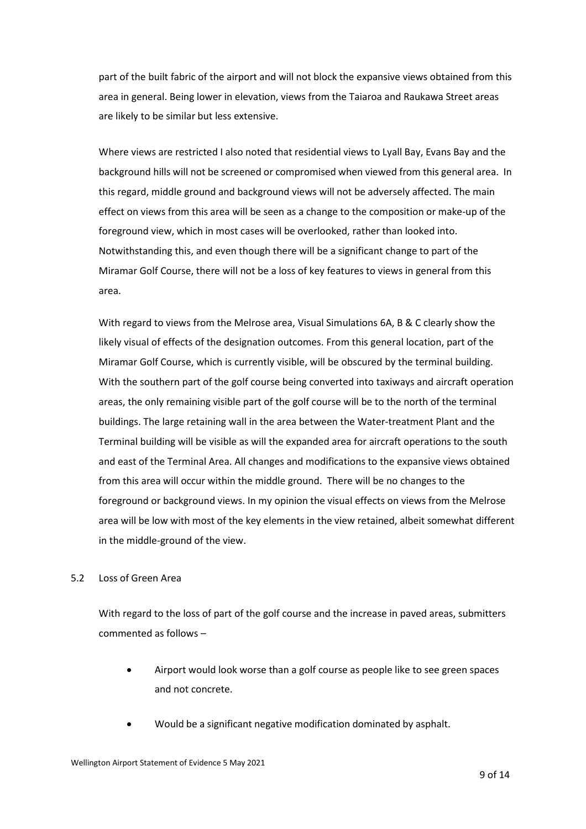part of the built fabric of the airport and will not block the expansive views obtained from this area in general. Being lower in elevation, views from the Taiaroa and Raukawa Street areas are likely to be similar but less extensive.

Where views are restricted I also noted that residential views to Lyall Bay, Evans Bay and the background hills will not be screened or compromised when viewed from this general area. In this regard, middle ground and background views will not be adversely affected. The main effect on views from this area will be seen as a change to the composition or make-up of the foreground view, which in most cases will be overlooked, rather than looked into. Notwithstanding this, and even though there will be a significant change to part of the Miramar Golf Course, there will not be a loss of key features to views in general from this area.

With regard to views from the Melrose area, Visual Simulations 6A, B & C clearly show the likely visual of effects of the designation outcomes. From this general location, part of the Miramar Golf Course, which is currently visible, will be obscured by the terminal building. With the southern part of the golf course being converted into taxiways and aircraft operation areas, the only remaining visible part of the golf course will be to the north of the terminal buildings. The large retaining wall in the area between the Water-treatment Plant and the Terminal building will be visible as will the expanded area for aircraft operations to the south and east of the Terminal Area. All changes and modifications to the expansive views obtained from this area will occur within the middle ground. There will be no changes to the foreground or background views. In my opinion the visual effects on views from the Melrose area will be low with most of the key elements in the view retained, albeit somewhat different in the middle-ground of the view.

## 5.2 Loss of Green Area

With regard to the loss of part of the golf course and the increase in paved areas, submitters commented as follows –

- Airport would look worse than a golf course as people like to see green spaces and not concrete.
- Would be a significant negative modification dominated by asphalt.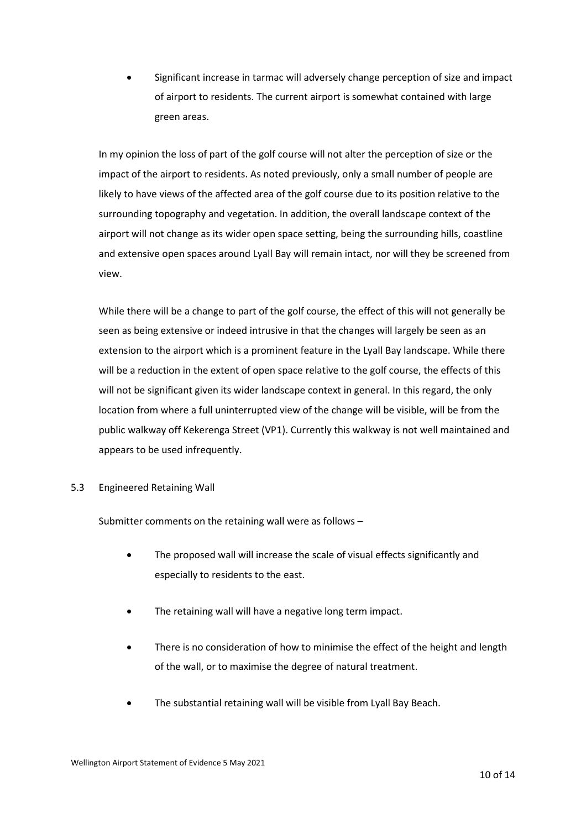• Significant increase in tarmac will adversely change perception of size and impact of airport to residents. The current airport is somewhat contained with large green areas.

In my opinion the loss of part of the golf course will not alter the perception of size or the impact of the airport to residents. As noted previously, only a small number of people are likely to have views of the affected area of the golf course due to its position relative to the surrounding topography and vegetation. In addition, the overall landscape context of the airport will not change as its wider open space setting, being the surrounding hills, coastline and extensive open spaces around Lyall Bay will remain intact, nor will they be screened from view.

While there will be a change to part of the golf course, the effect of this will not generally be seen as being extensive or indeed intrusive in that the changes will largely be seen as an extension to the airport which is a prominent feature in the Lyall Bay landscape. While there will be a reduction in the extent of open space relative to the golf course, the effects of this will not be significant given its wider landscape context in general. In this regard, the only location from where a full uninterrupted view of the change will be visible, will be from the public walkway off Kekerenga Street (VP1). Currently this walkway is not well maintained and appears to be used infrequently.

### 5.3 Engineered Retaining Wall

Submitter comments on the retaining wall were as follows –

- The proposed wall will increase the scale of visual effects significantly and especially to residents to the east.
- The retaining wall will have a negative long term impact.
- There is no consideration of how to minimise the effect of the height and length of the wall, or to maximise the degree of natural treatment.
- The substantial retaining wall will be visible from Lyall Bay Beach.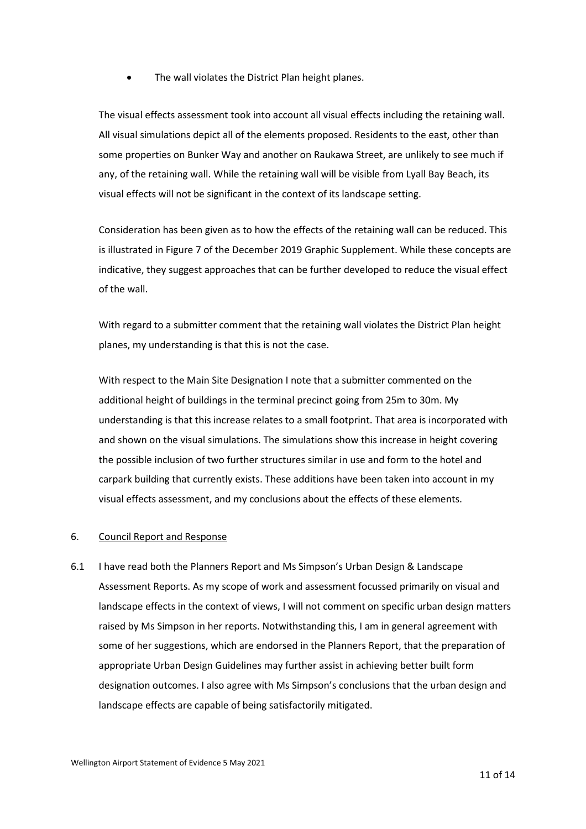The wall violates the District Plan height planes.

The visual effects assessment took into account all visual effects including the retaining wall. All visual simulations depict all of the elements proposed. Residents to the east, other than some properties on Bunker Way and another on Raukawa Street, are unlikely to see much if any, of the retaining wall. While the retaining wall will be visible from Lyall Bay Beach, its visual effects will not be significant in the context of its landscape setting.

Consideration has been given as to how the effects of the retaining wall can be reduced. This is illustrated in Figure 7 of the December 2019 Graphic Supplement. While these concepts are indicative, they suggest approaches that can be further developed to reduce the visual effect of the wall.

With regard to a submitter comment that the retaining wall violates the District Plan height planes, my understanding is that this is not the case.

With respect to the Main Site Designation I note that a submitter commented on the additional height of buildings in the terminal precinct going from 25m to 30m. My understanding is that this increase relates to a small footprint. That area is incorporated with and shown on the visual simulations. The simulations show this increase in height covering the possible inclusion of two further structures similar in use and form to the hotel and carpark building that currently exists. These additions have been taken into account in my visual effects assessment, and my conclusions about the effects of these elements.

### 6. Council Report and Response

6.1 I have read both the Planners Report and Ms Simpson's Urban Design & Landscape Assessment Reports. As my scope of work and assessment focussed primarily on visual and landscape effects in the context of views, I will not comment on specific urban design matters raised by Ms Simpson in her reports. Notwithstanding this, I am in general agreement with some of her suggestions, which are endorsed in the Planners Report, that the preparation of appropriate Urban Design Guidelines may further assist in achieving better built form designation outcomes. I also agree with Ms Simpson's conclusions that the urban design and landscape effects are capable of being satisfactorily mitigated.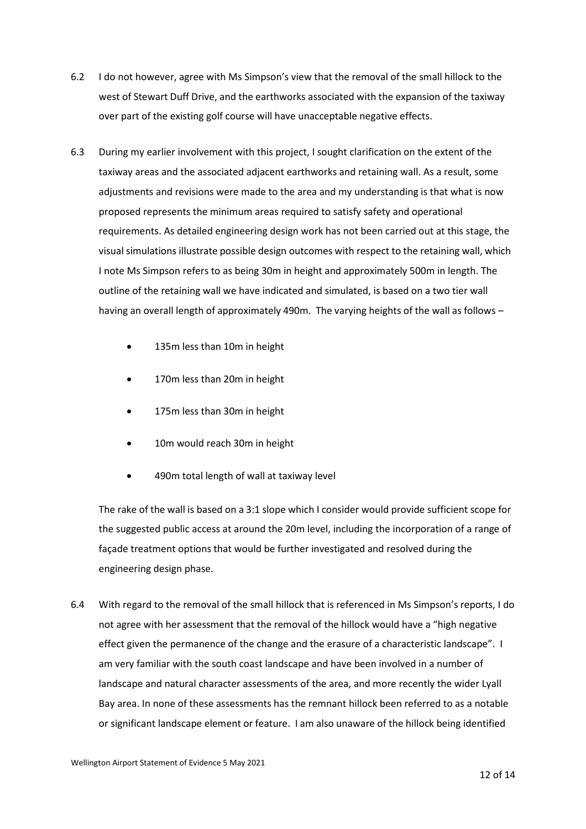- 6.2 I do not however, agree with Ms Simpson's view that the removal of the small hillock to the west of Stewart Duff Drive, and the earthworks associated with the expansion of the taxiway over part of the existing golf course will have unacceptable negative effects.
- 6.3 During my earlier involvement with this project, I sought clarification on the extent of the taxiway areas and the associated adjacent earthworks and retaining wall. As a result, some adjustments and revisions were made to the area and my understanding is that what is now proposed represents the minimum areas required to satisfy safety and operational requirements. As detailed engineering design work has not been carried out at this stage, the visual simulations illustrate possible design outcomes with respect to the retaining wall, which I note Ms Simpson refers to as being 30m in height and approximately 500m in length. The outline of the retaining wall we have indicated and simulated, is based on a two tier wall having an overall length of approximately 490m. The varying heights of the wall as follows –
	- 135m less than 10m in height
	- 170m less than 20m in height
	- 175m less than 30m in height
	- 10m would reach 30m in height
	- 490m total length of wall at taxiway level

The rake of the wall is based on a 3:1 slope which I consider would provide sufficient scope for the suggested public access at around the 20m level, including the incorporation of a range of façade treatment options that would be further investigated and resolved during the engineering design phase.

6.4 With regard to the removal of the small hillock that is referenced in Ms Simpson's reports, I do not agree with her assessment that the removal of the hillock would have a "high negative effect given the permanence of the change and the erasure of a characteristic landscape". I am very familiar with the south coast landscape and have been involved in a number of landscape and natural character assessments of the area, and more recently the wider Lyall Bay area. In none of these assessments has the remnant hillock been referred to as a notable or significant landscape element or feature. I am also unaware of the hillock being identified